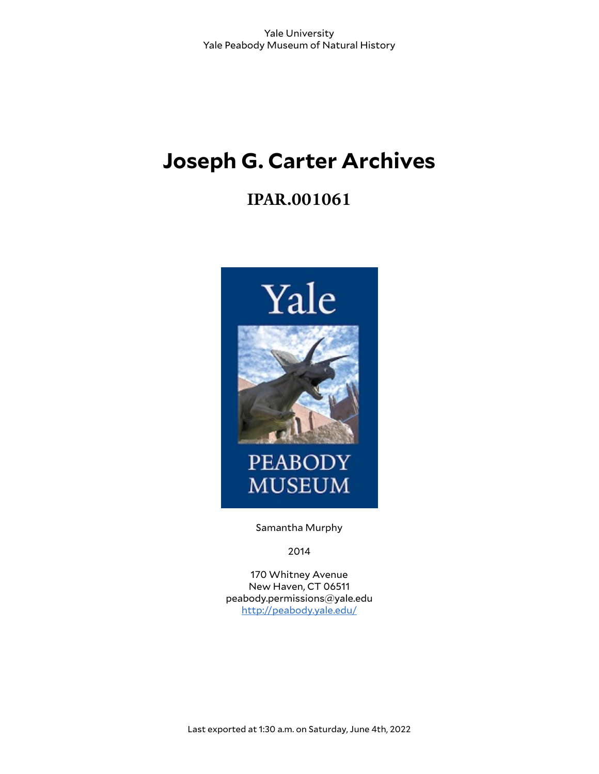# **Joseph G. Carter Archives**

# **IPAR.001061**



Samantha Murphy

2014

170 Whitney Avenue New Haven, CT 06511 peabody.permissions@yale.edu <http://peabody.yale.edu/>

Last exported at 1:30 a.m. on Saturday, June 4th, 2022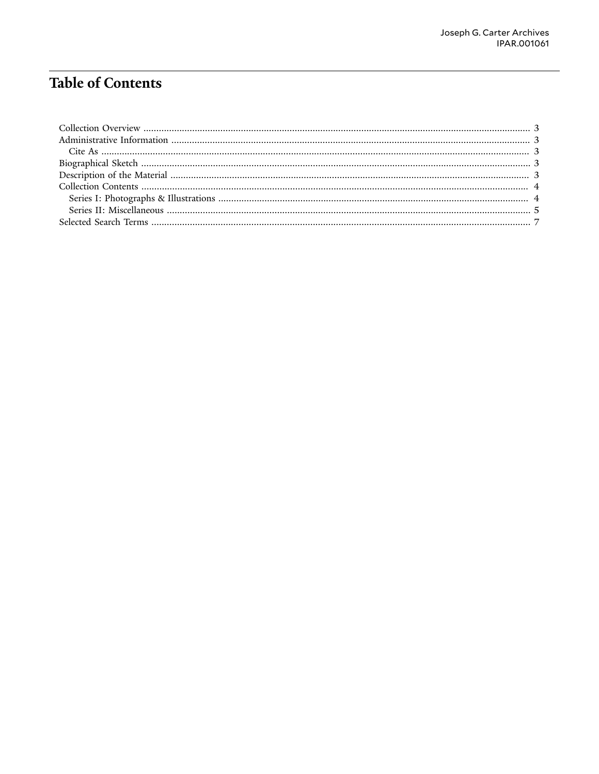## **Table of Contents**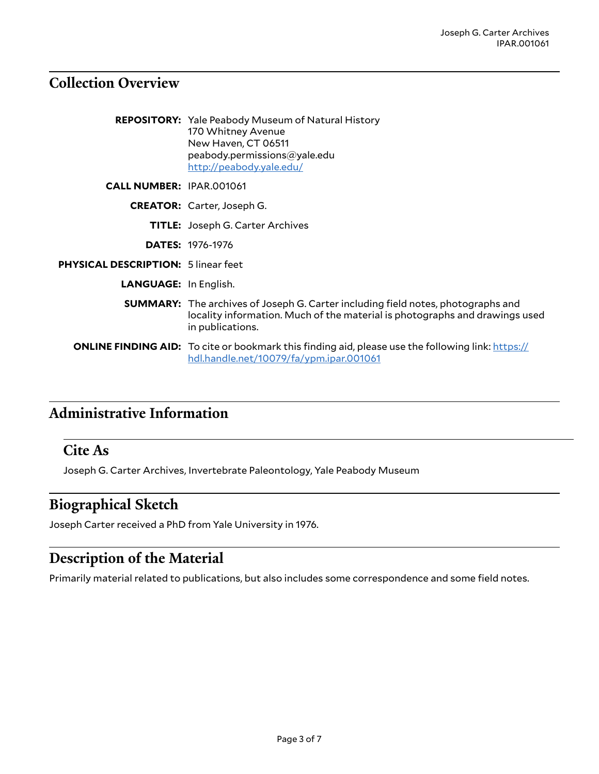## <span id="page-2-0"></span>**Collection Overview**

|                                            | <b>REPOSITORY:</b> Yale Peabody Museum of Natural History<br>170 Whitney Avenue<br>New Haven, CT 06511<br>peabody.permissions@yale.edu<br>http://peabody.yale.edu/                         |
|--------------------------------------------|--------------------------------------------------------------------------------------------------------------------------------------------------------------------------------------------|
| <b>CALL NUMBER: IPAR.001061</b>            |                                                                                                                                                                                            |
|                                            | <b>CREATOR:</b> Carter, Joseph G.                                                                                                                                                          |
|                                            | <b>TITLE:</b> Joseph G. Carter Archives                                                                                                                                                    |
|                                            | <b>DATES: 1976-1976</b>                                                                                                                                                                    |
| <b>PHYSICAL DESCRIPTION: 5 linear feet</b> |                                                                                                                                                                                            |
| <b>LANGUAGE:</b> In English.               |                                                                                                                                                                                            |
|                                            | <b>SUMMARY:</b> The archives of Joseph G. Carter including field notes, photographs and<br>locality information. Much of the material is photographs and drawings used<br>in publications. |
|                                            | <b>ONLINE FINDING AID:</b> To cite or bookmark this finding aid, please use the following link: https://<br>hdl.handle.net/10079/fa/ypm.ipar.001061                                        |

# <span id="page-2-1"></span>**Administrative Information**

#### <span id="page-2-2"></span>**Cite As**

Joseph G. Carter Archives, Invertebrate Paleontology, Yale Peabody Museum

## <span id="page-2-3"></span>**Biographical Sketch**

Joseph Carter received a PhD from Yale University in 1976.

## <span id="page-2-4"></span>**Description of the Material**

Primarily material related to publications, but also includes some correspondence and some field notes.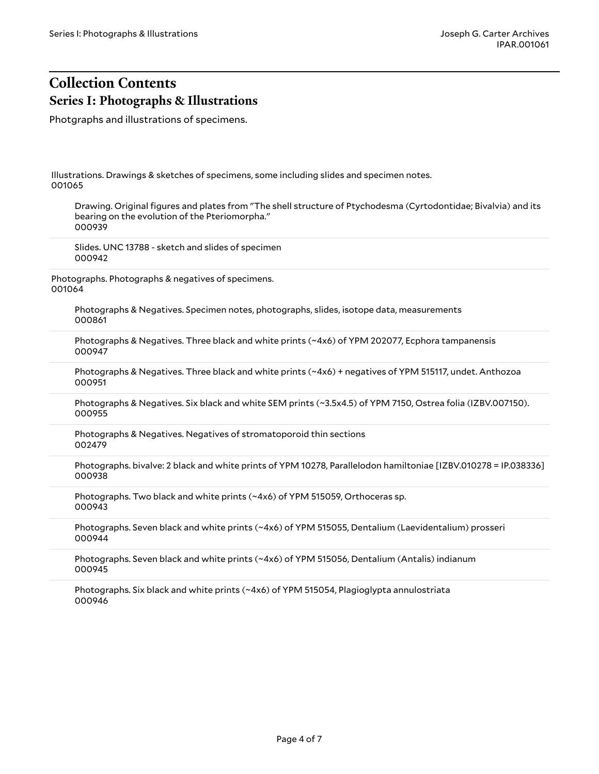## <span id="page-3-1"></span><span id="page-3-0"></span>**Collection Contents Series I: Photographs & Illustrations**

Photgraphs and illustrations of specimens.

Illustrations. Drawings & sketches of specimens, some including slides and specimen notes. 001065

Drawing. Original figures and plates from "The shell structure of Ptychodesma (Cyrtodontidae; Bivalvia) and its bearing on the evolution of the Pteriomorpha." 000939

Slides. UNC 13788 - sketch and slides of specimen 000942

Photographs. Photographs & negatives of specimens. 001064

> Photographs & Negatives. Specimen notes, photographs, slides, isotope data, measurements 000861

Photographs & Negatives. Three black and white prints (~4x6) of YPM 202077, Ecphora tampanensis 000947

Photographs & Negatives. Three black and white prints (~4x6) + negatives of YPM 515117, undet. Anthozoa 000951

Photographs & Negatives. Six black and white SEM prints (~3.5x4.5) of YPM 7150, Ostrea folia (IZBV.007150). 000955

Photographs & Negatives. Negatives of stromatoporoid thin sections 002479

Photographs. bivalve: 2 black and white prints of YPM 10278, Parallelodon hamiltoniae [IZBV.010278 = IP.038336] 000938

Photographs. Two black and white prints (~4x6) of YPM 515059, Orthoceras sp. 000943

Photographs. Seven black and white prints (~4x6) of YPM 515055, Dentalium (Laevidentalium) prosseri 000944

Photographs. Seven black and white prints (~4x6) of YPM 515056, Dentalium (Antalis) indianum 000945

Photographs. Six black and white prints (~4x6) of YPM 515054, Plagioglypta annulostriata 000946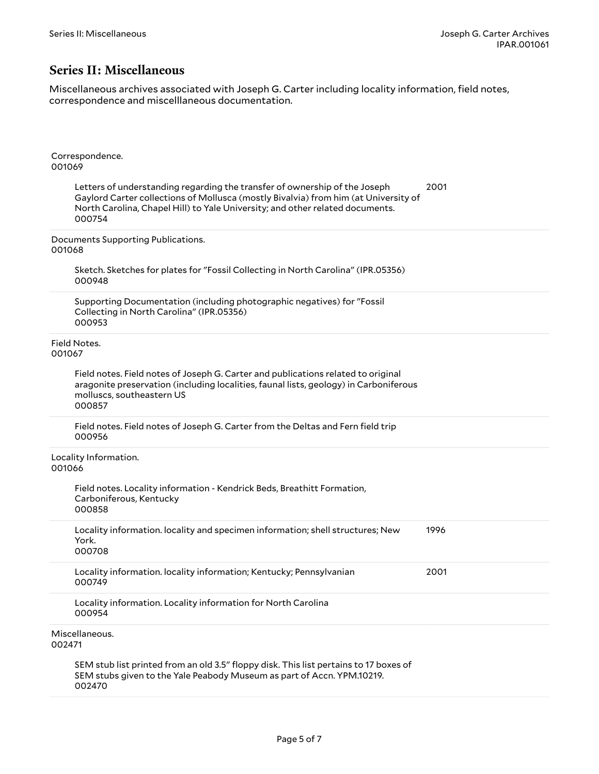#### <span id="page-4-0"></span>**Series II: Miscellaneous**

Miscellaneous archives associated with Joseph G. Carter including locality information, field notes, correspondence and miscelllaneous documentation.

| Correspondence.<br>001069                                                                                                                                                                                                                                    |      |
|--------------------------------------------------------------------------------------------------------------------------------------------------------------------------------------------------------------------------------------------------------------|------|
| Letters of understanding regarding the transfer of ownership of the Joseph<br>Gaylord Carter collections of Mollusca (mostly Bivalvia) from him (at University of<br>North Carolina, Chapel Hill) to Yale University; and other related documents.<br>000754 | 2001 |
| Documents Supporting Publications.<br>001068                                                                                                                                                                                                                 |      |
| Sketch. Sketches for plates for "Fossil Collecting in North Carolina" (IPR.05356)<br>000948                                                                                                                                                                  |      |
| Supporting Documentation (including photographic negatives) for "Fossil<br>Collecting in North Carolina" (IPR.05356)<br>000953                                                                                                                               |      |
| Field Notes.<br>001067                                                                                                                                                                                                                                       |      |
| Field notes. Field notes of Joseph G. Carter and publications related to original<br>aragonite preservation (including localities, faunal lists, geology) in Carboniferous<br>molluscs, southeastern US<br>000857                                            |      |
| Field notes. Field notes of Joseph G. Carter from the Deltas and Fern field trip<br>000956                                                                                                                                                                   |      |
| Locality Information.<br>001066                                                                                                                                                                                                                              |      |
| Field notes. Locality information - Kendrick Beds, Breathitt Formation,<br>Carboniferous, Kentucky<br>000858                                                                                                                                                 |      |
| Locality information. locality and specimen information; shell structures; New<br>York.<br>000708                                                                                                                                                            | 1996 |
| Locality information. locality information; Kentucky; Pennsylvanian<br>000749                                                                                                                                                                                | 2001 |
| Locality information. Locality information for North Carolina<br>000954                                                                                                                                                                                      |      |
| Miscellaneous.<br>002471                                                                                                                                                                                                                                     |      |
| SEM stub list printed from an old 3.5" floppy disk. This list pertains to 17 boxes of<br>SEM stubs given to the Yale Peabody Museum as part of Accn. YPM.10219.<br>002470                                                                                    |      |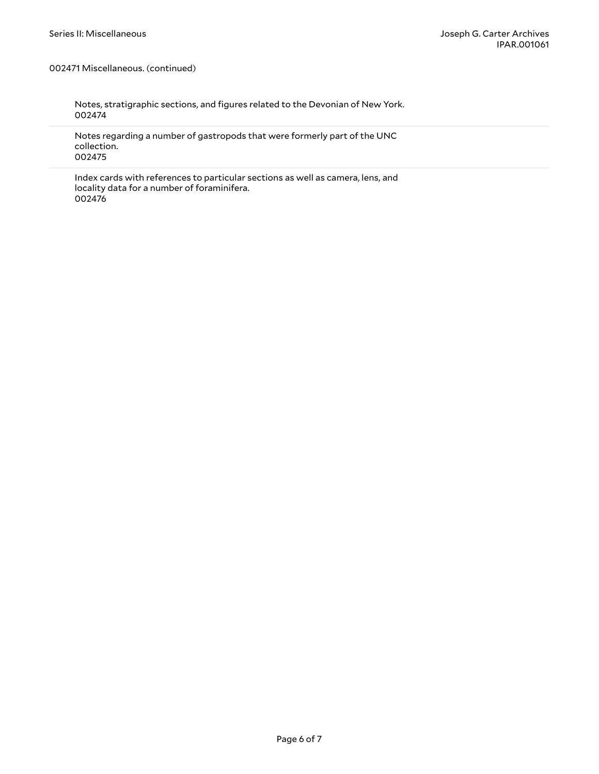002471 Miscellaneous. (continued)

Notes, stratigraphic sections, and figures related to the Devonian of New York. 002474

Notes regarding a number of gastropods that were formerly part of the UNC collection. 002475

Index cards with references to particular sections as well as camera, lens, and locality data for a number of foraminifera. 002476